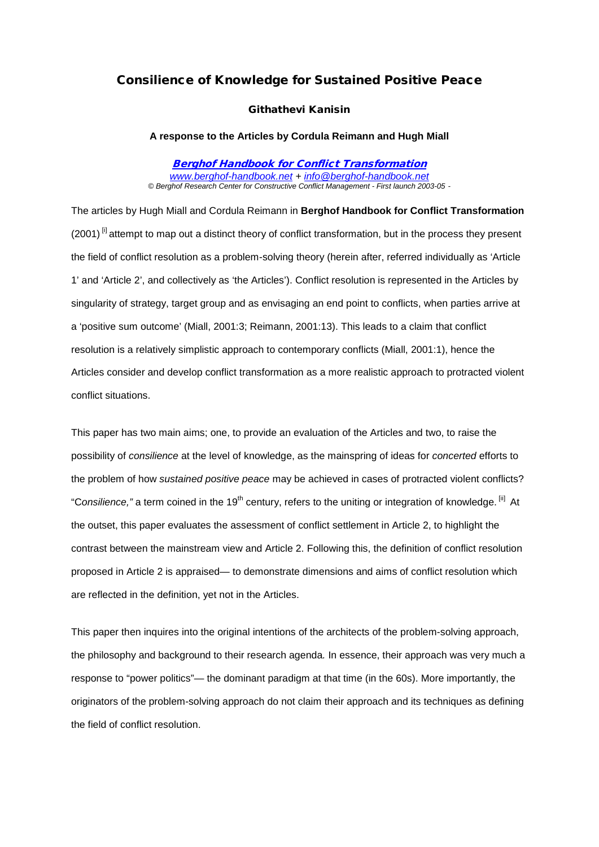# Consilience of Knowledge for Sustained Positive Peace

### Githathevi Kanisin

#### **A response to the Articles by Cordula Reimann and Hugh Miall**

[Berghof Handbook for Conflict Transformation](http://www.berghof-handbook.net/) *[www.berghof-handbook.net](http://www.berghof-handbook.net/) + [info@berghof-handbook.net](mailto:info@berghof-handbook.net) © Berghof Research Center for Constructive Conflict Management - First launch 2003-05 -* 

The articles by Hugh Miall and Cordula Reimann in **Berghof Handbook for Conflict Transformation**   $(2001)$ <sup>[i]</sup> attempt to map out a distinct theory of conflict transformation, but in the process they present the field of conflict resolution as a problem-solving theory (herein after, referred individually as 'Article 1' and 'Article 2', and collectively as 'the Articles'). Conflict resolution is represented in the Articles by singularity of strategy, target group and as envisaging an end point to conflicts, when parties arrive at a 'positive sum outcome' (Miall, 2001:3; Reimann, 2001:13). This leads to a claim that conflict resolution is a relatively simplistic approach to contemporary conflicts (Miall, 2001:1), hence the Articles consider and develop conflict transformation as a more realistic approach to protracted violent conflict situations.

This paper has two main aims; one, to provide an evaluation of the Articles and two, to raise the possibility of *consilience* at the level of knowledge, as the mainspring of ideas for *concerted* efforts to the problem of how *sustained positive peace* may be achieved in cases of protracted violent conflicts? "Consilience," a term coined in the 19<sup>th</sup> century, refers to the uniting or integration of knowledge. <sup>[ii]</sup> At the outset, this paper evaluates the assessment of conflict settlement in Article 2, to highlight the contrast between the mainstream view and Article 2. Following this, the definition of conflict resolution proposed in Article 2 is appraised— to demonstrate dimensions and aims of conflict resolution which are reflected in the definition, yet not in the Articles.

This paper then inquires into the original intentions of the architects of the problem-solving approach, the philosophy and background to their research agenda*.* In essence, their approach was very much a response to "power politics"— the dominant paradigm at that time (in the 60s). More importantly, the originators of the problem-solving approach do not claim their approach and its techniques as defining the field of conflict resolution.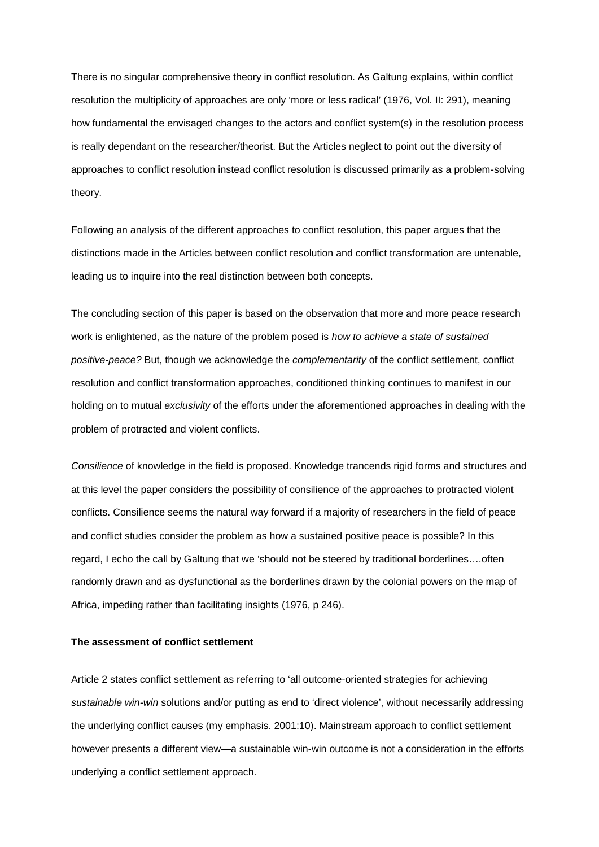There is no singular comprehensive theory in conflict resolution. As Galtung explains, within conflict resolution the multiplicity of approaches are only 'more or less radical' (1976, Vol. II: 291), meaning how fundamental the envisaged changes to the actors and conflict system(s) in the resolution process is really dependant on the researcher/theorist. But the Articles neglect to point out the diversity of approaches to conflict resolution instead conflict resolution is discussed primarily as a problem-solving theory.

Following an analysis of the different approaches to conflict resolution, this paper argues that the distinctions made in the Articles between conflict resolution and conflict transformation are untenable, leading us to inquire into the real distinction between both concepts.

The concluding section of this paper is based on the observation that more and more peace research work is enlightened, as the nature of the problem posed is *how to achieve a state of sustained positive-peace?* But, though we acknowledge the *complementarity* of the conflict settlement, conflict resolution and conflict transformation approaches, conditioned thinking continues to manifest in our holding on to mutual *exclusivity* of the efforts under the aforementioned approaches in dealing with the problem of protracted and violent conflicts.

*Consilience* of knowledge in the field is proposed. Knowledge trancends rigid forms and structures and at this level the paper considers the possibility of consilience of the approaches to protracted violent conflicts. Consilience seems the natural way forward if a majority of researchers in the field of peace and conflict studies consider the problem as how a sustained positive peace is possible? In this regard, I echo the call by Galtung that we 'should not be steered by traditional borderlines….often randomly drawn and as dysfunctional as the borderlines drawn by the colonial powers on the map of Africa, impeding rather than facilitating insights (1976, p 246).

### **The assessment of conflict settlement**

Article 2 states conflict settlement as referring to 'all outcome-oriented strategies for achieving *sustainable win-win* solutions and/or putting as end to 'direct violence', without necessarily addressing the underlying conflict causes (my emphasis. 2001:10). Mainstream approach to conflict settlement however presents a different view—a sustainable win-win outcome is not a consideration in the efforts underlying a conflict settlement approach.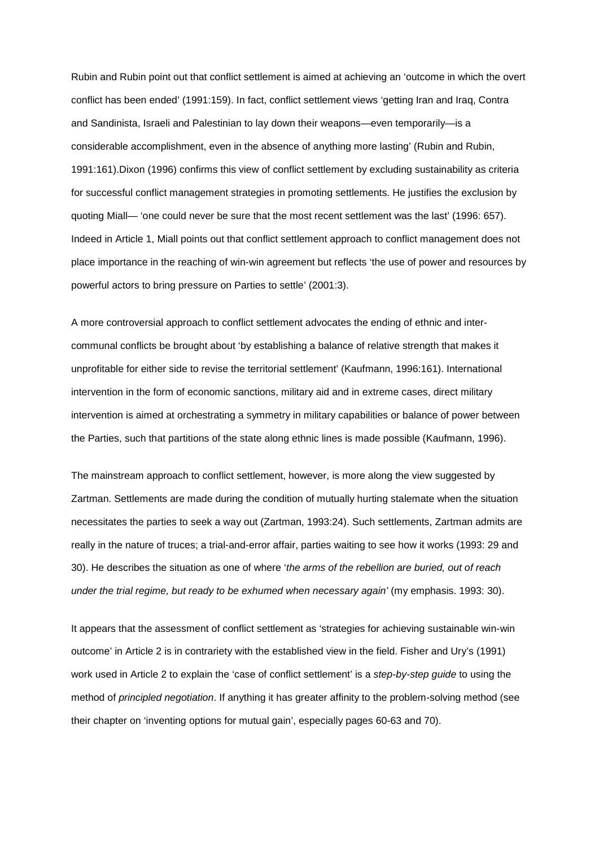Rubin and Rubin point out that conflict settlement is aimed at achieving an 'outcome in which the overt conflict has been ended' (1991:159). In fact, conflict settlement views 'getting Iran and Iraq, Contra and Sandinista, Israeli and Palestinian to lay down their weapons—even temporarily—is a considerable accomplishment, even in the absence of anything more lasting' (Rubin and Rubin, 1991:161).Dixon (1996) confirms this view of conflict settlement by excluding sustainability as criteria for successful conflict management strategies in promoting settlements. He justifies the exclusion by quoting Miall— 'one could never be sure that the most recent settlement was the last' (1996: 657). Indeed in Article 1, Miall points out that conflict settlement approach to conflict management does not place importance in the reaching of win-win agreement but reflects 'the use of power and resources by powerful actors to bring pressure on Parties to settle' (2001:3).

A more controversial approach to conflict settlement advocates the ending of ethnic and intercommunal conflicts be brought about 'by establishing a balance of relative strength that makes it unprofitable for either side to revise the territorial settlement' (Kaufmann, 1996:161). International intervention in the form of economic sanctions, military aid and in extreme cases, direct military intervention is aimed at orchestrating a symmetry in military capabilities or balance of power between the Parties, such that partitions of the state along ethnic lines is made possible (Kaufmann, 1996).

The mainstream approach to conflict settlement, however, is more along the view suggested by Zartman. Settlements are made during the condition of mutually hurting stalemate when the situation necessitates the parties to seek a way out (Zartman, 1993:24). Such settlements, Zartman admits are really in the nature of truces; a trial-and-error affair, parties waiting to see how it works (1993: 29 and 30). He describes the situation as one of where '*the arms of the rebellion are buried, out of reach under the trial regime, but ready to be exhumed when necessary again'* (my emphasis. 1993: 30).

It appears that the assessment of conflict settlement as 'strategies for achieving sustainable win-win outcome' in Article 2 is in contrariety with the established view in the field. Fisher and Ury's (1991) work used in Article 2 to explain the 'case of conflict settlement' is a *step-by-step guide* to using the method of *principled negotiation*. If anything it has greater affinity to the problem-solving method (see their chapter on 'inventing options for mutual gain', especially pages 60-63 and 70).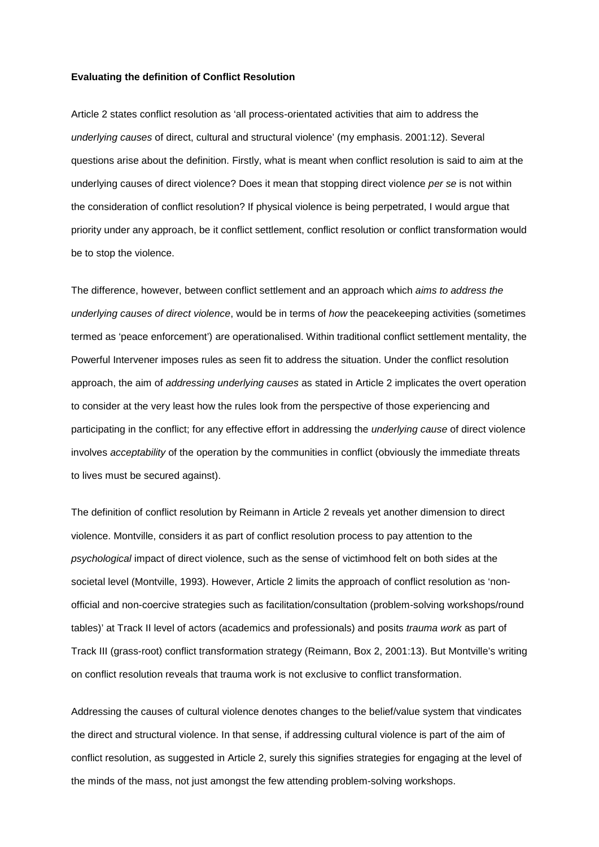#### **Evaluating the definition of Conflict Resolution**

Article 2 states conflict resolution as 'all process-orientated activities that aim to address the *underlying causes* of direct, cultural and structural violence' (my emphasis. 2001:12). Several questions arise about the definition. Firstly, what is meant when conflict resolution is said to aim at the underlying causes of direct violence? Does it mean that stopping direct violence *per se* is not within the consideration of conflict resolution? If physical violence is being perpetrated, I would argue that priority under any approach, be it conflict settlement, conflict resolution or conflict transformation would be to stop the violence.

The difference, however, between conflict settlement and an approach which *aims to address the underlying causes of direct violence*, would be in terms of *how* the peacekeeping activities (sometimes termed as 'peace enforcement') are operationalised. Within traditional conflict settlement mentality, the Powerful Intervener imposes rules as seen fit to address the situation. Under the conflict resolution approach, the aim of *addressing underlying causes* as stated in Article 2 implicates the overt operation to consider at the very least how the rules look from the perspective of those experiencing and participating in the conflict; for any effective effort in addressing the *underlying cause* of direct violence involves *acceptability* of the operation by the communities in conflict (obviously the immediate threats to lives must be secured against).

The definition of conflict resolution by Reimann in Article 2 reveals yet another dimension to direct violence. Montville, considers it as part of conflict resolution process to pay attention to the *psychological* impact of direct violence, such as the sense of victimhood felt on both sides at the societal level (Montville, 1993). However, Article 2 limits the approach of conflict resolution as 'nonofficial and non-coercive strategies such as facilitation/consultation (problem-solving workshops/round tables)' at Track II level of actors (academics and professionals) and posits *trauma work* as part of Track III (grass-root) conflict transformation strategy (Reimann, Box 2, 2001:13). But Montville's writing on conflict resolution reveals that trauma work is not exclusive to conflict transformation.

Addressing the causes of cultural violence denotes changes to the belief/value system that vindicates the direct and structural violence. In that sense, if addressing cultural violence is part of the aim of conflict resolution, as suggested in Article 2, surely this signifies strategies for engaging at the level of the minds of the mass, not just amongst the few attending problem-solving workshops.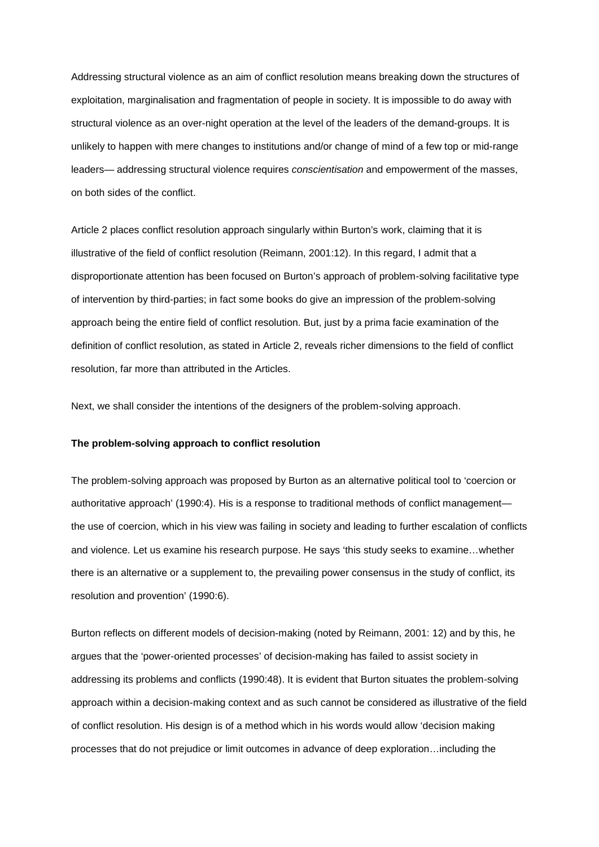Addressing structural violence as an aim of conflict resolution means breaking down the structures of exploitation, marginalisation and fragmentation of people in society. It is impossible to do away with structural violence as an over-night operation at the level of the leaders of the demand-groups. It is unlikely to happen with mere changes to institutions and/or change of mind of a few top or mid-range leaders— addressing structural violence requires *conscientisation* and empowerment of the masses, on both sides of the conflict.

Article 2 places conflict resolution approach singularly within Burton's work, claiming that it is illustrative of the field of conflict resolution (Reimann, 2001:12). In this regard, I admit that a disproportionate attention has been focused on Burton's approach of problem-solving facilitative type of intervention by third-parties; in fact some books do give an impression of the problem-solving approach being the entire field of conflict resolution. But, just by a prima facie examination of the definition of conflict resolution, as stated in Article 2, reveals richer dimensions to the field of conflict resolution, far more than attributed in the Articles.

Next, we shall consider the intentions of the designers of the problem-solving approach.

#### **The problem-solving approach to conflict resolution**

The problem-solving approach was proposed by Burton as an alternative political tool to 'coercion or authoritative approach' (1990:4). His is a response to traditional methods of conflict management the use of coercion, which in his view was failing in society and leading to further escalation of conflicts and violence. Let us examine his research purpose. He says 'this study seeks to examine…whether there is an alternative or a supplement to, the prevailing power consensus in the study of conflict, its resolution and provention' (1990:6).

Burton reflects on different models of decision-making (noted by Reimann, 2001: 12) and by this, he argues that the 'power-oriented processes' of decision-making has failed to assist society in addressing its problems and conflicts (1990:48). It is evident that Burton situates the problem-solving approach within a decision-making context and as such cannot be considered as illustrative of the field of conflict resolution. His design is of a method which in his words would allow 'decision making processes that do not prejudice or limit outcomes in advance of deep exploration…including the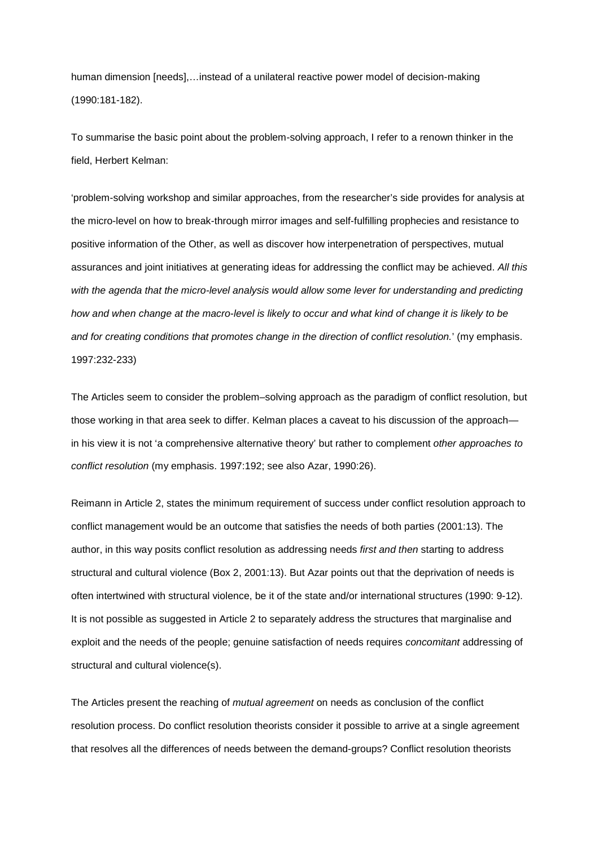human dimension [needs],…instead of a unilateral reactive power model of decision-making (1990:181-182).

To summarise the basic point about the problem-solving approach, I refer to a renown thinker in the field, Herbert Kelman:

'problem-solving workshop and similar approaches, from the researcher's side provides for analysis at the micro-level on how to break-through mirror images and self-fulfilling prophecies and resistance to positive information of the Other, as well as discover how interpenetration of perspectives, mutual assurances and joint initiatives at generating ideas for addressing the conflict may be achieved. *All this*  with the agenda that the micro-level analysis would allow some lever for understanding and predicting how and when change at the macro-level is likely to occur and what kind of change it is likely to be *and for creating conditions that promotes change in the direction of conflict resolution.*' (my emphasis. 1997:232-233)

The Articles seem to consider the problem–solving approach as the paradigm of conflict resolution, but those working in that area seek to differ. Kelman places a caveat to his discussion of the approach in his view it is not 'a comprehensive alternative theory' but rather to complement *other approaches to conflict resolution* (my emphasis. 1997:192; see also Azar, 1990:26).

Reimann in Article 2, states the minimum requirement of success under conflict resolution approach to conflict management would be an outcome that satisfies the needs of both parties (2001:13). The author, in this way posits conflict resolution as addressing needs *first and then* starting to address structural and cultural violence (Box 2, 2001:13). But Azar points out that the deprivation of needs is often intertwined with structural violence, be it of the state and/or international structures (1990: 9-12). It is not possible as suggested in Article 2 to separately address the structures that marginalise and exploit and the needs of the people; genuine satisfaction of needs requires *concomitant* addressing of structural and cultural violence(s).

The Articles present the reaching of *mutual agreement* on needs as conclusion of the conflict resolution process. Do conflict resolution theorists consider it possible to arrive at a single agreement that resolves all the differences of needs between the demand-groups? Conflict resolution theorists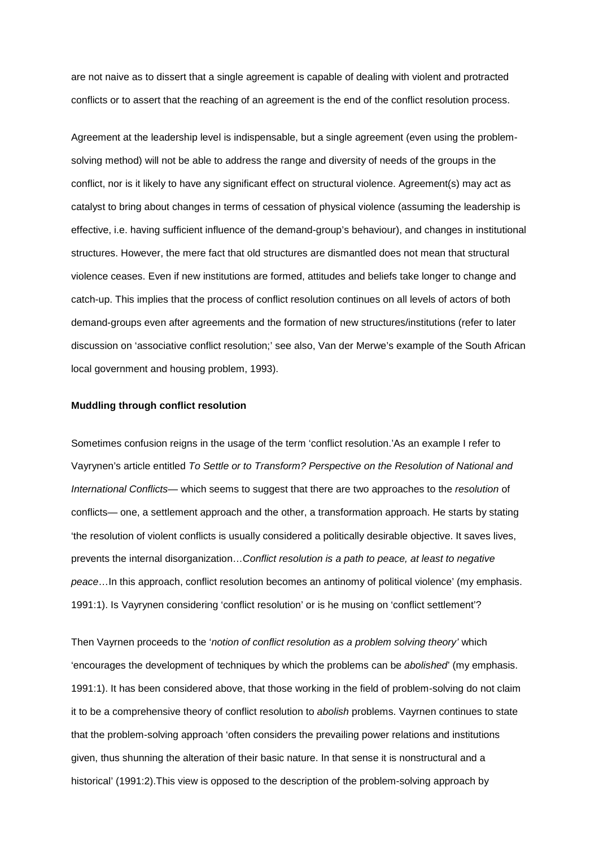are not naive as to dissert that a single agreement is capable of dealing with violent and protracted conflicts or to assert that the reaching of an agreement is the end of the conflict resolution process.

Agreement at the leadership level is indispensable, but a single agreement (even using the problemsolving method) will not be able to address the range and diversity of needs of the groups in the conflict, nor is it likely to have any significant effect on structural violence. Agreement(s) may act as catalyst to bring about changes in terms of cessation of physical violence (assuming the leadership is effective, i.e. having sufficient influence of the demand-group's behaviour), and changes in institutional structures. However, the mere fact that old structures are dismantled does not mean that structural violence ceases. Even if new institutions are formed, attitudes and beliefs take longer to change and catch-up. This implies that the process of conflict resolution continues on all levels of actors of both demand-groups even after agreements and the formation of new structures/institutions (refer to later discussion on 'associative conflict resolution;' see also, Van der Merwe's example of the South African local government and housing problem, 1993).

### **Muddling through conflict resolution**

Sometimes confusion reigns in the usage of the term 'conflict resolution.'As an example I refer to Vayrynen's article entitled *To Settle or to Transform? Perspective on the Resolution of National and International Conflicts*— which seems to suggest that there are two approaches to the *resolution* of conflicts— one, a settlement approach and the other, a transformation approach. He starts by stating 'the resolution of violent conflicts is usually considered a politically desirable objective. It saves lives, prevents the internal disorganization…*Conflict resolution is a path to peace, at least to negative peace*…In this approach, conflict resolution becomes an antinomy of political violence' (my emphasis. 1991:1). Is Vayrynen considering 'conflict resolution' or is he musing on 'conflict settlement'?

Then Vayrnen proceeds to the '*notion of conflict resolution as a problem solving theory'* which 'encourages the development of techniques by which the problems can be *abolished*' (my emphasis. 1991:1). It has been considered above, that those working in the field of problem-solving do not claim it to be a comprehensive theory of conflict resolution to *abolish* problems. Vayrnen continues to state that the problem-solving approach 'often considers the prevailing power relations and institutions given, thus shunning the alteration of their basic nature. In that sense it is nonstructural and a historical' (1991:2).This view is opposed to the description of the problem-solving approach by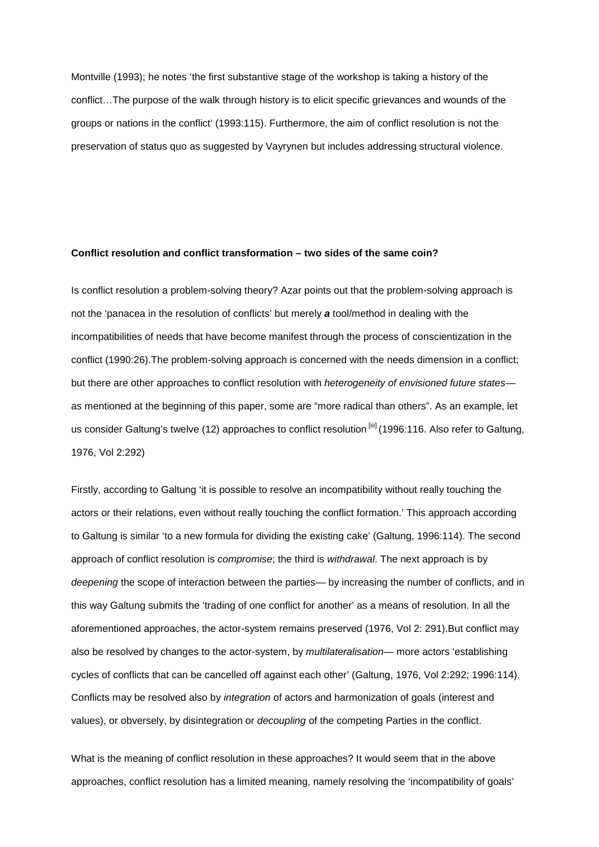Montville (1993); he notes 'the first substantive stage of the workshop is taking a history of the conflict…The purpose of the walk through history is to elicit specific grievances and wounds of the groups or nations in the conflict' (1993:115). Furthermore, the aim of conflict resolution is not the preservation of status quo as suggested by Vayrynen but includes addressing structural violence.

### **Conflict resolution and conflict transformation – two sides of the same coin?**

Is conflict resolution a problem-solving theory? Azar points out that the problem-solving approach is not the 'panacea in the resolution of conflicts' but merely *a* tool/method in dealing with the incompatibilities of needs that have become manifest through the process of conscientization in the conflict (1990:26).The problem-solving approach is concerned with the needs dimension in a conflict; but there are other approaches to conflict resolution with *heterogeneity of envisioned future states* as mentioned at the beginning of this paper, some are "more radical than others". As an example, let us consider Galtung's twelve (12) approaches to conflict resolution [iii] (1996:116. Also refer to Galtung, 1976, Vol 2:292)

Firstly, according to Galtung 'it is possible to resolve an incompatibility without really touching the actors or their relations, even without really touching the conflict formation.' This approach according to Galtung is similar 'to a new formula for dividing the existing cake' (Galtung, 1996:114). The second approach of conflict resolution is *compromise*; the third is *withdrawal*. The next approach is by *deepening* the scope of interaction between the parties— by increasing the number of conflicts, and in this way Galtung submits the 'trading of one conflict for another' as a means of resolution. In all the aforementioned approaches, the actor-system remains preserved (1976, Vol 2: 291).But conflict may also be resolved by changes to the actor-system, by *multilateralisation*— more actors 'establishing cycles of conflicts that can be cancelled off against each other' (Galtung, 1976, Vol 2:292; 1996:114). Conflicts may be resolved also by *integration* of actors and harmonization of goals (interest and values), or obversely, by disintegration or *decoupling* of the competing Parties in the conflict.

What is the meaning of conflict resolution in these approaches? It would seem that in the above approaches, conflict resolution has a limited meaning, namely resolving the 'incompatibility of goals'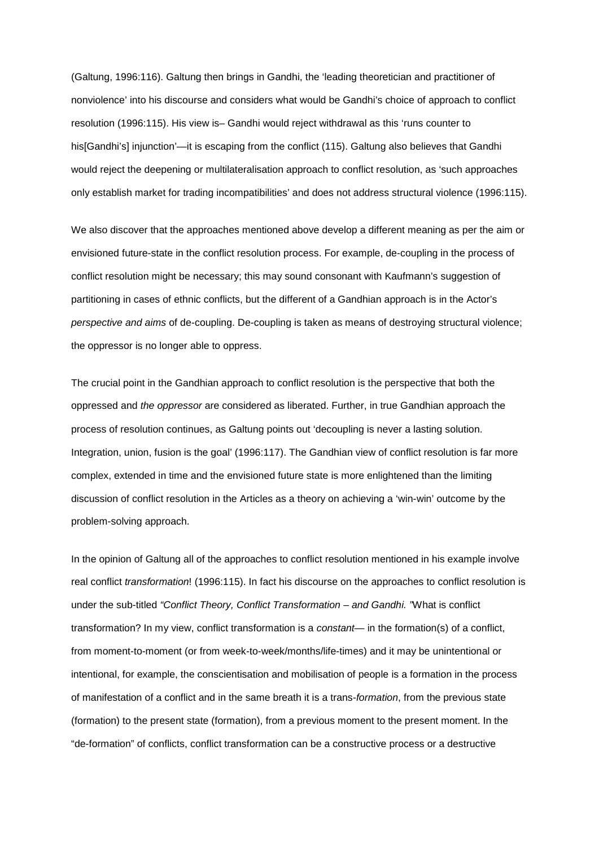(Galtung, 1996:116). Galtung then brings in Gandhi, the 'leading theoretician and practitioner of nonviolence' into his discourse and considers what would be Gandhi's choice of approach to conflict resolution (1996:115). His view is– Gandhi would reject withdrawal as this 'runs counter to his[Gandhi's] injunction'—it is escaping from the conflict (115). Galtung also believes that Gandhi would reject the deepening or multilateralisation approach to conflict resolution, as 'such approaches only establish market for trading incompatibilities' and does not address structural violence (1996:115).

We also discover that the approaches mentioned above develop a different meaning as per the aim or envisioned future-state in the conflict resolution process. For example, de-coupling in the process of conflict resolution might be necessary; this may sound consonant with Kaufmann's suggestion of partitioning in cases of ethnic conflicts, but the different of a Gandhian approach is in the Actor's *perspective and aims* of de-coupling. De-coupling is taken as means of destroying structural violence; the oppressor is no longer able to oppress.

The crucial point in the Gandhian approach to conflict resolution is the perspective that both the oppressed and *the oppressor* are considered as liberated. Further, in true Gandhian approach the process of resolution continues, as Galtung points out 'decoupling is never a lasting solution. Integration, union, fusion is the goal' (1996:117). The Gandhian view of conflict resolution is far more complex, extended in time and the envisioned future state is more enlightened than the limiting discussion of conflict resolution in the Articles as a theory on achieving a 'win-win' outcome by the problem-solving approach.

In the opinion of Galtung all of the approaches to conflict resolution mentioned in his example involve real conflict *transformation*! (1996:115). In fact his discourse on the approaches to conflict resolution is under the sub-titled *"Conflict Theory, Conflict Transformation – and Gandhi. "*What is conflict transformation? In my view, conflict transformation is a *constant*— in the formation(s) of a conflict, from moment-to-moment (or from week-to-week/months/life-times) and it may be unintentional or intentional, for example, the conscientisation and mobilisation of people is a formation in the process of manifestation of a conflict and in the same breath it is a trans-*formation*, from the previous state (formation) to the present state (formation), from a previous moment to the present moment. In the "de-formation" of conflicts, conflict transformation can be a constructive process or a destructive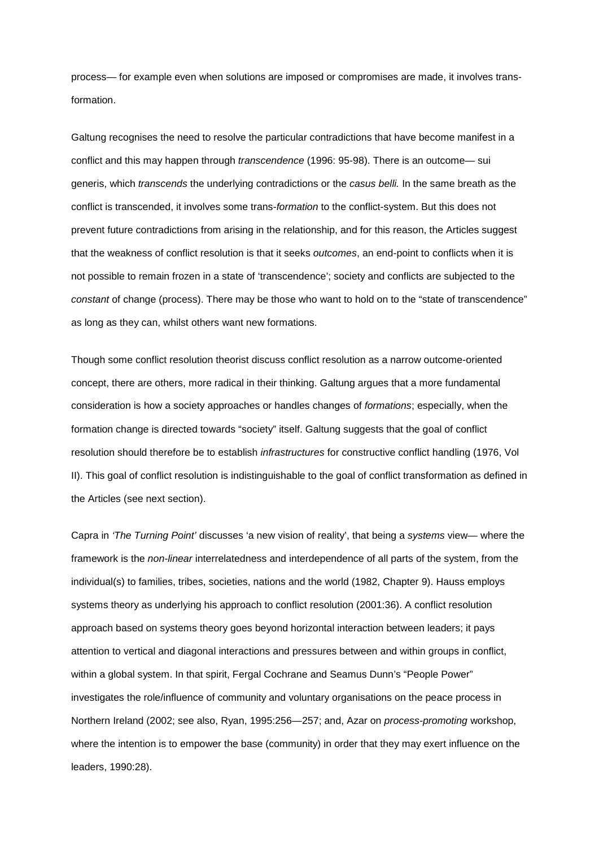process— for example even when solutions are imposed or compromises are made, it involves transformation.

Galtung recognises the need to resolve the particular contradictions that have become manifest in a conflict and this may happen through *transcendence* (1996: 95-98). There is an outcome— sui generis, which *transcends* the underlying contradictions or the *casus belli.* In the same breath as the conflict is transcended, it involves some trans-*formation* to the conflict-system. But this does not prevent future contradictions from arising in the relationship, and for this reason, the Articles suggest that the weakness of conflict resolution is that it seeks *outcomes*, an end-point to conflicts when it is not possible to remain frozen in a state of 'transcendence'; society and conflicts are subjected to the *constant* of change (process). There may be those who want to hold on to the "state of transcendence" as long as they can, whilst others want new formations.

Though some conflict resolution theorist discuss conflict resolution as a narrow outcome-oriented concept, there are others, more radical in their thinking. Galtung argues that a more fundamental consideration is how a society approaches or handles changes of *formations*; especially, when the formation change is directed towards "society" itself. Galtung suggests that the goal of conflict resolution should therefore be to establish *infrastructures* for constructive conflict handling (1976, Vol II). This goal of conflict resolution is indistinguishable to the goal of conflict transformation as defined in the Articles (see next section).

Capra in *'The Turning Point'* discusses 'a new vision of reality', that being a *systems* view— where the framework is the *non-linear* interrelatedness and interdependence of all parts of the system, from the individual(s) to families, tribes, societies, nations and the world (1982, Chapter 9). Hauss employs systems theory as underlying his approach to conflict resolution (2001:36). A conflict resolution approach based on systems theory goes beyond horizontal interaction between leaders; it pays attention to vertical and diagonal interactions and pressures between and within groups in conflict, within a global system. In that spirit, Fergal Cochrane and Seamus Dunn's "People Power" investigates the role/influence of community and voluntary organisations on the peace process in Northern Ireland (2002; see also, Ryan, 1995:256—257; and, Azar on *process-promoting* workshop, where the intention is to empower the base (community) in order that they may exert influence on the leaders, 1990:28).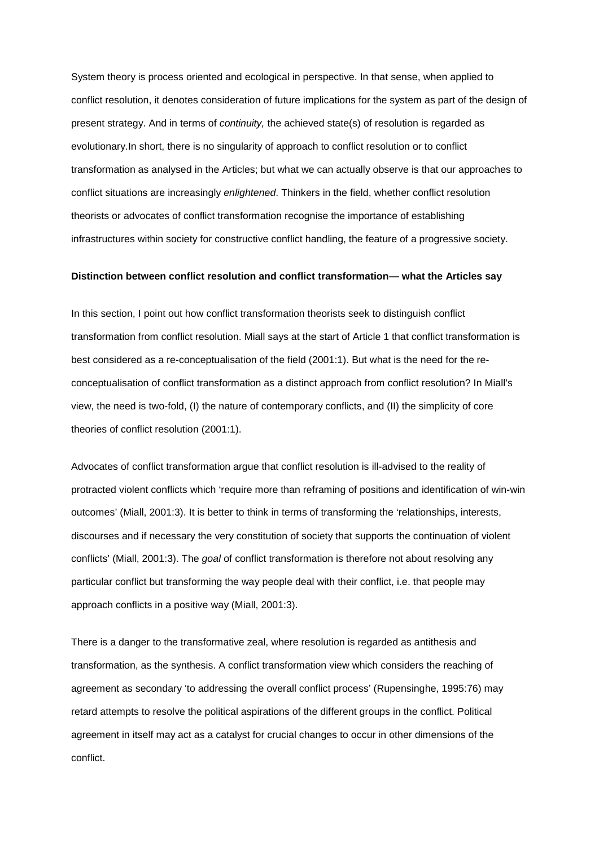System theory is process oriented and ecological in perspective. In that sense, when applied to conflict resolution, it denotes consideration of future implications for the system as part of the design of present strategy. And in terms of *continuity,* the achieved state(s) of resolution is regarded as evolutionary.In short, there is no singularity of approach to conflict resolution or to conflict transformation as analysed in the Articles; but what we can actually observe is that our approaches to conflict situations are increasingly *enlightened*. Thinkers in the field, whether conflict resolution theorists or advocates of conflict transformation recognise the importance of establishing infrastructures within society for constructive conflict handling, the feature of a progressive society.

#### **Distinction between conflict resolution and conflict transformation— what the Articles say**

In this section, I point out how conflict transformation theorists seek to distinguish conflict transformation from conflict resolution. Miall says at the start of Article 1 that conflict transformation is best considered as a re-conceptualisation of the field (2001:1). But what is the need for the reconceptualisation of conflict transformation as a distinct approach from conflict resolution? In Miall's view, the need is two-fold, (I) the nature of contemporary conflicts, and (II) the simplicity of core theories of conflict resolution (2001:1).

Advocates of conflict transformation argue that conflict resolution is ill-advised to the reality of protracted violent conflicts which 'require more than reframing of positions and identification of win-win outcomes' (Miall, 2001:3). It is better to think in terms of transforming the 'relationships, interests, discourses and if necessary the very constitution of society that supports the continuation of violent conflicts' (Miall, 2001:3). The *goal* of conflict transformation is therefore not about resolving any particular conflict but transforming the way people deal with their conflict, i.e. that people may approach conflicts in a positive way (Miall, 2001:3).

There is a danger to the transformative zeal, where resolution is regarded as antithesis and transformation, as the synthesis. A conflict transformation view which considers the reaching of agreement as secondary 'to addressing the overall conflict process' (Rupensinghe, 1995:76) may retard attempts to resolve the political aspirations of the different groups in the conflict. Political agreement in itself may act as a catalyst for crucial changes to occur in other dimensions of the conflict.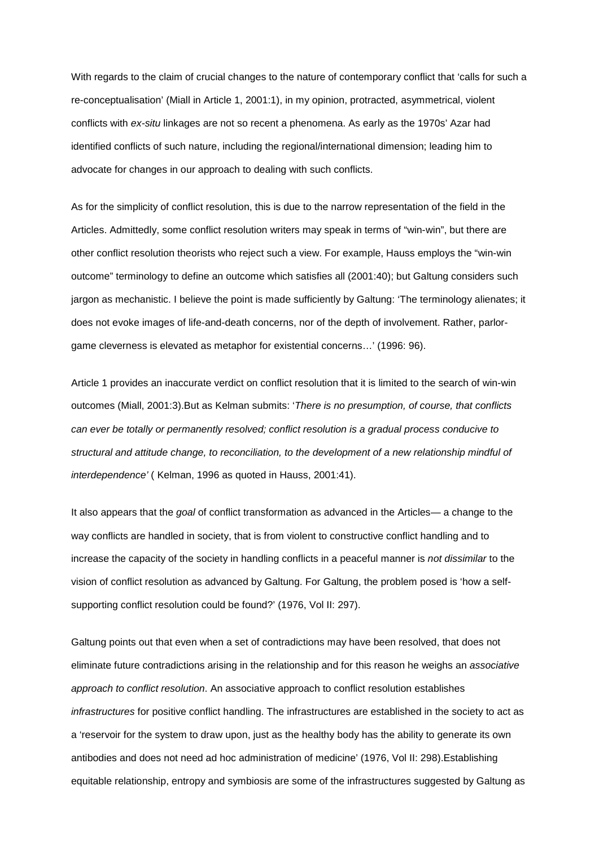With regards to the claim of crucial changes to the nature of contemporary conflict that 'calls for such a re-conceptualisation' (Miall in Article 1, 2001:1), in my opinion, protracted, asymmetrical, violent conflicts with *ex-situ* linkages are not so recent a phenomena. As early as the 1970s' Azar had identified conflicts of such nature, including the regional/international dimension; leading him to advocate for changes in our approach to dealing with such conflicts.

As for the simplicity of conflict resolution, this is due to the narrow representation of the field in the Articles. Admittedly, some conflict resolution writers may speak in terms of "win-win", but there are other conflict resolution theorists who reject such a view. For example, Hauss employs the "win-win outcome" terminology to define an outcome which satisfies all (2001:40); but Galtung considers such jargon as mechanistic. I believe the point is made sufficiently by Galtung: 'The terminology alienates; it does not evoke images of life-and-death concerns, nor of the depth of involvement. Rather, parlorgame cleverness is elevated as metaphor for existential concerns…' (1996: 96).

Article 1 provides an inaccurate verdict on conflict resolution that it is limited to the search of win-win outcomes (Miall, 2001:3).But as Kelman submits: '*There is no presumption, of course, that conflicts can ever be totally or permanently resolved; conflict resolution is a gradual process conducive to structural and attitude change, to reconciliation, to the development of a new relationship mindful of interdependence'* ( Kelman, 1996 as quoted in Hauss, 2001:41).

It also appears that the *goal* of conflict transformation as advanced in the Articles— a change to the way conflicts are handled in society, that is from violent to constructive conflict handling and to increase the capacity of the society in handling conflicts in a peaceful manner is *not dissimilar* to the vision of conflict resolution as advanced by Galtung. For Galtung, the problem posed is 'how a selfsupporting conflict resolution could be found?' (1976, Vol II: 297).

Galtung points out that even when a set of contradictions may have been resolved, that does not eliminate future contradictions arising in the relationship and for this reason he weighs an *associative approach to conflict resolution*. An associative approach to conflict resolution establishes *infrastructures* for positive conflict handling. The infrastructures are established in the society to act as a 'reservoir for the system to draw upon, just as the healthy body has the ability to generate its own antibodies and does not need ad hoc administration of medicine' (1976, Vol II: 298).Establishing equitable relationship, entropy and symbiosis are some of the infrastructures suggested by Galtung as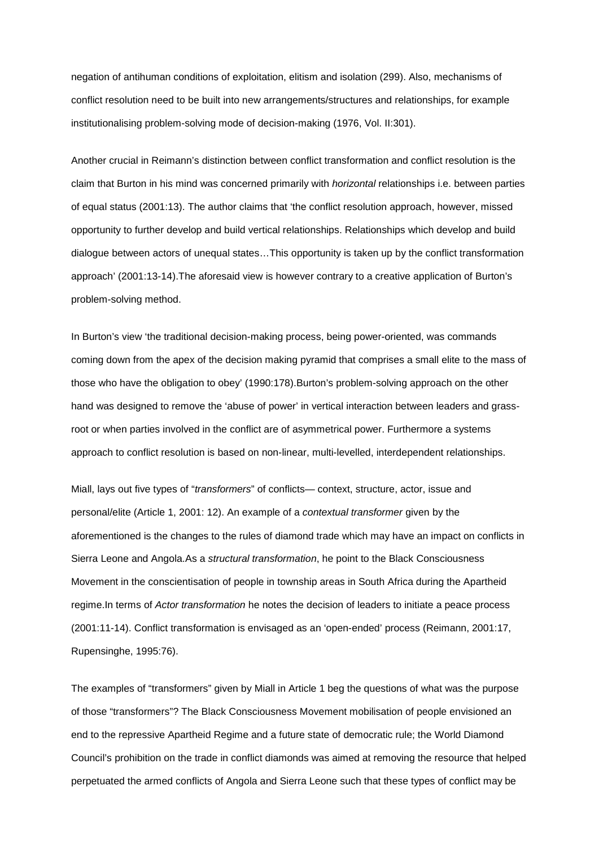negation of antihuman conditions of exploitation, elitism and isolation (299). Also, mechanisms of conflict resolution need to be built into new arrangements/structures and relationships, for example institutionalising problem-solving mode of decision-making (1976, Vol. II:301).

Another crucial in Reimann's distinction between conflict transformation and conflict resolution is the claim that Burton in his mind was concerned primarily with *horizontal* relationships i.e. between parties of equal status (2001:13). The author claims that 'the conflict resolution approach, however, missed opportunity to further develop and build vertical relationships. Relationships which develop and build dialogue between actors of unequal states…This opportunity is taken up by the conflict transformation approach' (2001:13-14).The aforesaid view is however contrary to a creative application of Burton's problem-solving method.

In Burton's view 'the traditional decision-making process, being power-oriented, was commands coming down from the apex of the decision making pyramid that comprises a small elite to the mass of those who have the obligation to obey' (1990:178).Burton's problem-solving approach on the other hand was designed to remove the 'abuse of power' in vertical interaction between leaders and grassroot or when parties involved in the conflict are of asymmetrical power. Furthermore a systems approach to conflict resolution is based on non-linear, multi-levelled, interdependent relationships.

Miall, lays out five types of "*transformers*" of conflicts— context, structure, actor, issue and personal/elite (Article 1, 2001: 12). An example of a *contextual transformer* given by the aforementioned is the changes to the rules of diamond trade which may have an impact on conflicts in Sierra Leone and Angola.As a *structural transformation*, he point to the Black Consciousness Movement in the conscientisation of people in township areas in South Africa during the Apartheid regime.In terms of *Actor transformation* he notes the decision of leaders to initiate a peace process (2001:11-14). Conflict transformation is envisaged as an 'open-ended' process (Reimann, 2001:17, Rupensinghe, 1995:76).

The examples of "transformers" given by Miall in Article 1 beg the questions of what was the purpose of those "transformers"? The Black Consciousness Movement mobilisation of people envisioned an end to the repressive Apartheid Regime and a future state of democratic rule; the World Diamond Council's prohibition on the trade in conflict diamonds was aimed at removing the resource that helped perpetuated the armed conflicts of Angola and Sierra Leone such that these types of conflict may be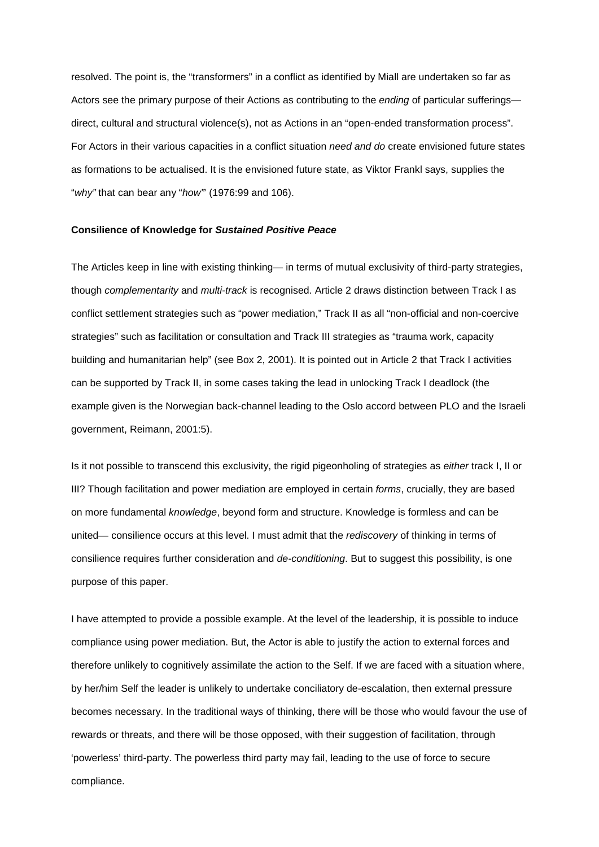resolved. The point is, the "transformers" in a conflict as identified by Miall are undertaken so far as Actors see the primary purpose of their Actions as contributing to the *ending* of particular sufferings direct, cultural and structural violence(s), not as Actions in an "open-ended transformation process". For Actors in their various capacities in a conflict situation *need and do* create envisioned future states as formations to be actualised. It is the envisioned future state, as Viktor Frankl says, supplies the "*why"* that can bear any "*how"*' (1976:99 and 106).

#### **Consilience of Knowledge for** *Sustained Positive Peace*

The Articles keep in line with existing thinking— in terms of mutual exclusivity of third-party strategies, though *complementarity* and *multi-track* is recognised. Article 2 draws distinction between Track I as conflict settlement strategies such as "power mediation," Track II as all "non-official and non-coercive strategies" such as facilitation or consultation and Track III strategies as "trauma work, capacity building and humanitarian help" (see Box 2, 2001). It is pointed out in Article 2 that Track I activities can be supported by Track II, in some cases taking the lead in unlocking Track I deadlock (the example given is the Norwegian back-channel leading to the Oslo accord between PLO and the Israeli government, Reimann, 2001:5).

Is it not possible to transcend this exclusivity, the rigid pigeonholing of strategies as *either* track I, II or III? Though facilitation and power mediation are employed in certain *forms*, crucially, they are based on more fundamental *knowledge*, beyond form and structure. Knowledge is formless and can be united— consilience occurs at this level. I must admit that the *rediscovery* of thinking in terms of consilience requires further consideration and *de-conditioning*. But to suggest this possibility, is one purpose of this paper.

I have attempted to provide a possible example. At the level of the leadership, it is possible to induce compliance using power mediation. But, the Actor is able to justify the action to external forces and therefore unlikely to cognitively assimilate the action to the Self. If we are faced with a situation where, by her/him Self the leader is unlikely to undertake conciliatory de-escalation, then external pressure becomes necessary. In the traditional ways of thinking, there will be those who would favour the use of rewards or threats, and there will be those opposed, with their suggestion of facilitation, through 'powerless' third-party. The powerless third party may fail, leading to the use of force to secure compliance.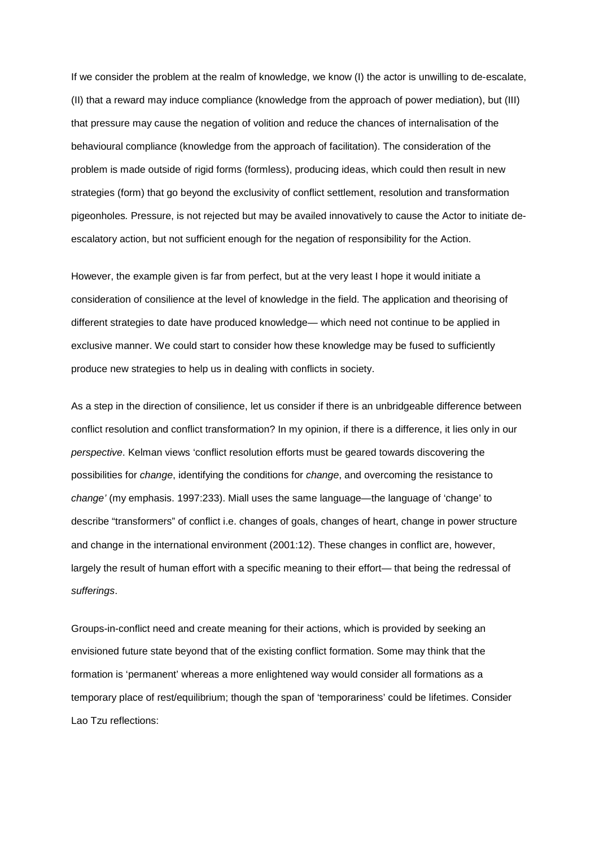If we consider the problem at the realm of knowledge, we know (I) the actor is unwilling to de-escalate, (II) that a reward may induce compliance (knowledge from the approach of power mediation), but (III) that pressure may cause the negation of volition and reduce the chances of internalisation of the behavioural compliance (knowledge from the approach of facilitation). The consideration of the problem is made outside of rigid forms (formless), producing ideas, which could then result in new strategies (form) that go beyond the exclusivity of conflict settlement, resolution and transformation pigeonholes*.* Pressure, is not rejected but may be availed innovatively to cause the Actor to initiate deescalatory action, but not sufficient enough for the negation of responsibility for the Action.

However, the example given is far from perfect, but at the very least I hope it would initiate a consideration of consilience at the level of knowledge in the field. The application and theorising of different strategies to date have produced knowledge— which need not continue to be applied in exclusive manner. We could start to consider how these knowledge may be fused to sufficiently produce new strategies to help us in dealing with conflicts in society.

As a step in the direction of consilience, let us consider if there is an unbridgeable difference between conflict resolution and conflict transformation? In my opinion, if there is a difference, it lies only in our *perspective*. Kelman views 'conflict resolution efforts must be geared towards discovering the possibilities for *change*, identifying the conditions for *change*, and overcoming the resistance to *change'* (my emphasis. 1997:233). Miall uses the same language—the language of 'change' to describe "transformers" of conflict i.e. changes of goals, changes of heart, change in power structure and change in the international environment (2001:12). These changes in conflict are, however, largely the result of human effort with a specific meaning to their effort— that being the redressal of *sufferings*.

Groups-in-conflict need and create meaning for their actions, which is provided by seeking an envisioned future state beyond that of the existing conflict formation. Some may think that the formation is 'permanent' whereas a more enlightened way would consider all formations as a temporary place of rest/equilibrium; though the span of 'temporariness' could be lifetimes. Consider Lao Tzu reflections: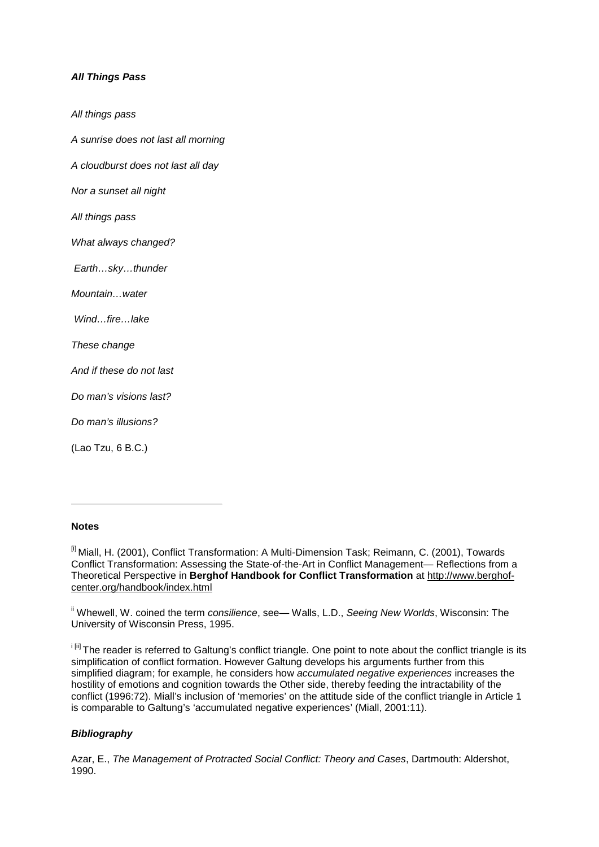## *All Things Pass*

*All things pass A sunrise does not last all morning A cloudburst does not last all day Nor a sunset all night All things pass What always changed? Earth…sky…thunder Mountain…water Wind…fire…lake These change And if these do not last Do man's visions last? Do man's illusions?* (Lao Tzu, 6 B.C.)

## **Notes**

<sup>[i]</sup> Miall, H. (2001), Conflict Transformation: A Multi-Dimension Task; Reimann, C. (2001), Towards Conflict Transformation: Assessing the State-of-the-Art in Conflict Management— Reflections from a Theoretical Perspective in **Berghof Handbook for Conflict Transformation** at http://www.berghofcenter.org/handbook/index.html

ii Whewell, W. coined the term *consilience*, see— Walls, L.D., *Seeing New Worlds*, Wisconsin: The University of Wisconsin Press, 1995.

i<sup>[ii]</sup> The reader is referred to Galtung's conflict triangle. One point to note about the conflict triangle is its simplification of conflict formation. However Galtung develops his arguments further from this simplified diagram; for example, he considers how *accumulated negative experiences* increases the hostility of emotions and cognition towards the Other side, thereby feeding the intractability of the conflict (1996:72). Miall's inclusion of 'memories' on the attitude side of the conflict triangle in Article 1 is comparable to Galtung's 'accumulated negative experiences' (Miall, 2001:11).

## *Bibliography*

Azar, E., *The Management of Protracted Social Conflict: Theory and Cases*, Dartmouth: Aldershot, 1990.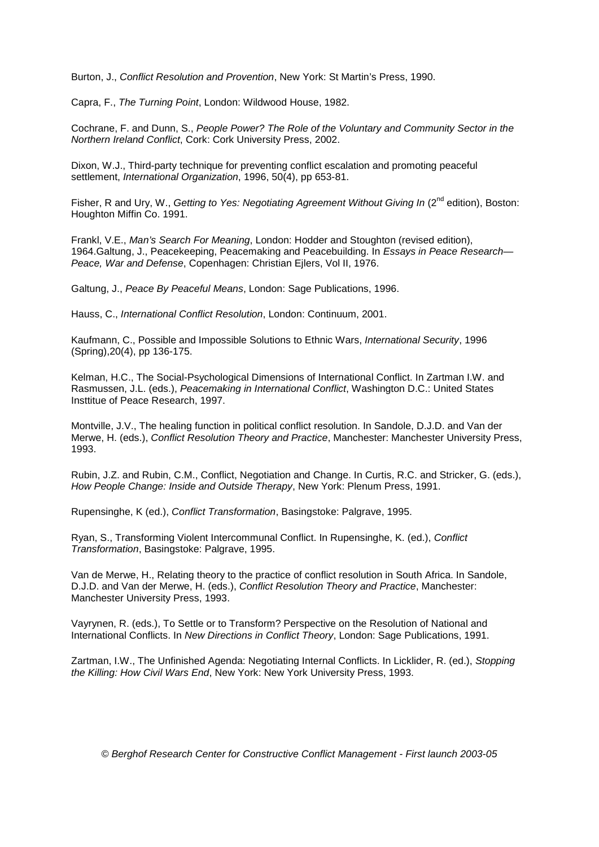Burton, J., *Conflict Resolution and Provention*, New York: St Martin's Press, 1990.

Capra, F., *The Turning Point*, London: Wildwood House, 1982.

Cochrane, F. and Dunn, S., *People Power? The Role of the Voluntary and Community Sector in the Northern Ireland Conflict*, Cork: Cork University Press, 2002.

Dixon, W.J., Third-party technique for preventing conflict escalation and promoting peaceful settlement, *International Organization*, 1996, 50(4), pp 653-81.

Fisher, R and Ury, W., *Getting to Yes: Negotiating Agreement Without Giving In* (2<sup>nd</sup> edition). Boston: Houghton Miffin Co. 1991.

Frankl, V.E., *Man's Search For Meaning*, London: Hodder and Stoughton (revised edition), 1964.Galtung, J., Peacekeeping, Peacemaking and Peacebuilding. In *Essays in Peace Research— Peace, War and Defense*, Copenhagen: Christian Ejlers, Vol II, 1976.

Galtung, J., *Peace By Peaceful Means*, London: Sage Publications, 1996.

Hauss, C., *International Conflict Resolution*, London: Continuum, 2001.

Kaufmann, C., Possible and Impossible Solutions to Ethnic Wars, *International Security*, 1996 (Spring),20(4), pp 136-175.

Kelman, H.C., The Social-Psychological Dimensions of International Conflict. In Zartman I.W. and Rasmussen, J.L. (eds.), *Peacemaking in International Conflict*, Washington D.C.: United States Insttitue of Peace Research, 1997.

Montville, J.V., The healing function in political conflict resolution. In Sandole, D.J.D. and Van der Merwe, H. (eds.), *Conflict Resolution Theory and Practice*, Manchester: Manchester University Press, 1993.

Rubin, J.Z. and Rubin, C.M., Conflict, Negotiation and Change. In Curtis, R.C. and Stricker, G. (eds.), *How People Change: Inside and Outside Therapy*, New York: Plenum Press, 1991.

Rupensinghe, K (ed.), *Conflict Transformation*, Basingstoke: Palgrave, 1995.

Ryan, S., Transforming Violent Intercommunal Conflict. In Rupensinghe, K. (ed.), *Conflict Transformation*, Basingstoke: Palgrave, 1995.

Van de Merwe, H., Relating theory to the practice of conflict resolution in South Africa. In Sandole, D.J.D. and Van der Merwe, H. (eds.), *Conflict Resolution Theory and Practice*, Manchester: Manchester University Press, 1993.

Vayrynen, R. (eds.), To Settle or to Transform? Perspective on the Resolution of National and International Conflicts. In *New Directions in Conflict Theory*, London: Sage Publications, 1991.

Zartman, I.W., The Unfinished Agenda: Negotiating Internal Conflicts. In Licklider, R. (ed.), *Stopping the Killing: How Civil Wars End*, New York: New York University Press, 1993.

*© Berghof Research Center for Constructive Conflict Management - First launch 2003-05*